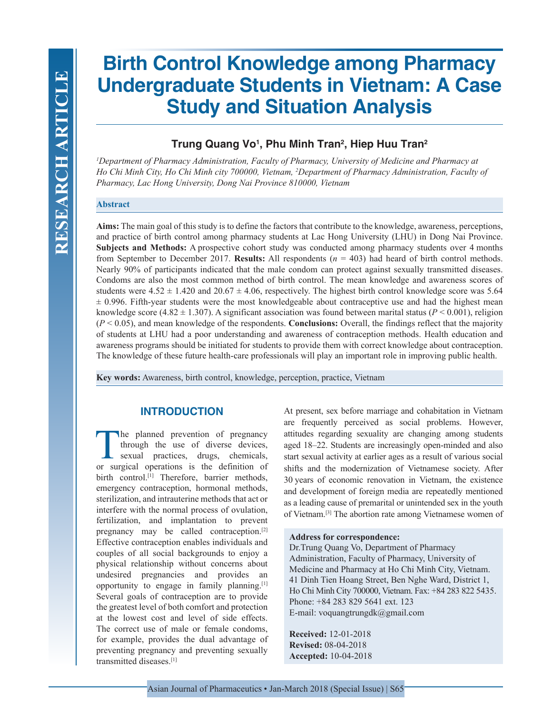# **Birth Control Knowledge among Pharmacy Undergraduate Students in Vietnam: A Case Study and Situation Analysis**

## **Trung Quang Vo1 , Phu Minh Tran2 , Hiep Huu Tran2**

*1 Department of Pharmacy Administration, Faculty of Pharmacy, University of Medicine and Pharmacy at Ho Chi Minh City, Ho Chi Minh city 700000, Vietnam, 2 Department of Pharmacy Administration, Faculty of Pharmacy, Lac Hong University, Dong Nai Province 810000, Vietnam*

## **Abstract**

**Aims:** The main goal of this study is to define the factors that contribute to the knowledge, awareness, perceptions, and practice of birth control among pharmacy students at Lac Hong University (LHU) in Dong Nai Province. **Subjects and Methods:** A prospective cohort study was conducted among pharmacy students over 4 months from September to December 2017. **Results:** All respondents (*n* = 403) had heard of birth control methods. Nearly 90% of participants indicated that the male condom can protect against sexually transmitted diseases. Condoms are also the most common method of birth control. The mean knowledge and awareness scores of students were  $4.52 \pm 1.420$  and  $20.67 \pm 4.06$ , respectively. The highest birth control knowledge score was 5.64  $\pm$  0.996. Fifth-year students were the most knowledgeable about contraceptive use and had the highest mean knowledge score (4.82  $\pm$  1.307). A significant association was found between marital status ( $P < 0.001$ ), religion (*P* < 0.05), and mean knowledge of the respondents. **Conclusions:** Overall, the findings reflect that the majority of students at LHU had a poor understanding and awareness of contraception methods. Health education and awareness programs should be initiated for students to provide them with correct knowledge about contraception. The knowledge of these future health-care professionals will play an important role in improving public health.

**Key words:** Awareness, birth control, knowledge, perception, practice, Vietnam

## **INTRODUCTION**

The planned prevention of pregnancy<br>through the use of diverse devices,<br>sexual practices, drugs, chemicals,<br>or surgical operations is the definition of through the use of diverse devices, sexual practices, drugs, chemicals, or surgical operations is the definition of birth control.<sup>[1]</sup> Therefore, barrier methods, emergency contraception, hormonal methods, sterilization, and intrauterine methods that act or interfere with the normal process of ovulation, fertilization, and implantation to prevent pregnancy may be called contraception.[2] Effective contraception enables individuals and couples of all social backgrounds to enjoy a physical relationship without concerns about undesired pregnancies and provides an opportunity to engage in family planning.[1] Several goals of contraception are to provide the greatest level of both comfort and protection at the lowest cost and level of side effects. The correct use of male or female condoms, for example, provides the dual advantage of preventing pregnancy and preventing sexually transmitted diseases.[1]

At present, sex before marriage and cohabitation in Vietnam are frequently perceived as social problems. However, attitudes regarding sexuality are changing among students aged 18–22. Students are increasingly open-minded and also start sexual activity at earlier ages as a result of various social shifts and the modernization of Vietnamese society. After 30 years of economic renovation in Vietnam, the existence and development of foreign media are repeatedly mentioned as a leading cause of premarital or unintended sex in the youth of Vietnam.[3] The abortion rate among Vietnamese women of

#### **Address for correspondence:**

Dr.Trung Quang Vo, Department of Pharmacy Administration, Faculty of Pharmacy, University of Medicine and Pharmacy at Ho Chi Minh City, Vietnam. 41 Dinh Tien Hoang Street, Ben Nghe Ward, District 1, Ho Chi Minh City 700000, Vietnam. Fax: +84 283 822 5435. Phone: +84 283 829 5641 ext. 123 E-mail: voquangtrungdk@gmail.com

**Received:** 12-01-2018 **Revised:** 08-04-2018 **Accepted:** 10-04-2018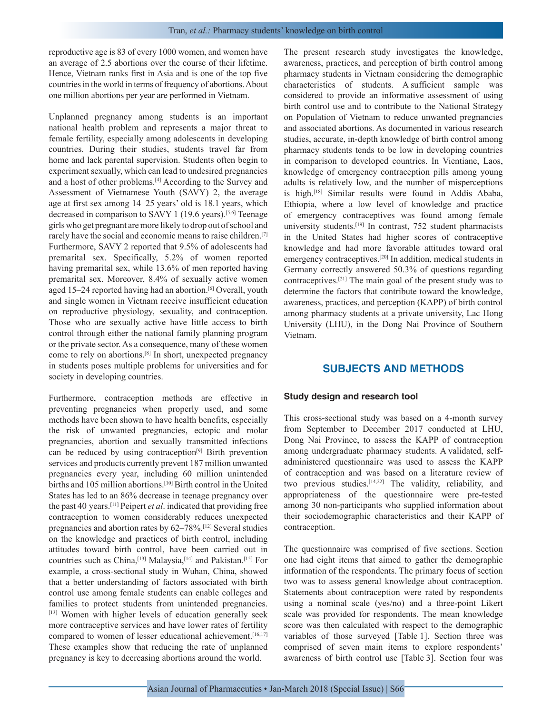reproductive age is 83 of every 1000 women, and women have an average of 2.5 abortions over the course of their lifetime. Hence, Vietnam ranks first in Asia and is one of the top five countries in the world in terms of frequency of abortions. About one million abortions per year are performed in Vietnam.

Unplanned pregnancy among students is an important national health problem and represents a major threat to female fertility, especially among adolescents in developing countries. During their studies, students travel far from home and lack parental supervision. Students often begin to experiment sexually, which can lead to undesired pregnancies and a host of other problems.[4] According to the Survey and Assessment of Vietnamese Youth (SAVY) 2, the average age at first sex among 14–25 years' old is 18.1 years, which decreased in comparison to SAVY 1 (19.6 years).[5,6] Teenage girls who get pregnant are more likely to drop out of school and rarely have the social and economic means to raise children.[7] Furthermore, SAVY 2 reported that 9.5% of adolescents had premarital sex. Specifically, 5.2% of women reported having premarital sex, while 13.6% of men reported having premarital sex. Moreover, 8.4% of sexually active women aged 15–24 reported having had an abortion.<sup>[6]</sup> Overall, youth and single women in Vietnam receive insufficient education on reproductive physiology, sexuality, and contraception. Those who are sexually active have little access to birth control through either the national family planning program or the private sector. As a consequence, many of these women come to rely on abortions.[8] In short, unexpected pregnancy in students poses multiple problems for universities and for society in developing countries.

Furthermore, contraception methods are effective in preventing pregnancies when properly used, and some methods have been shown to have health benefits, especially the risk of unwanted pregnancies, ectopic and molar pregnancies, abortion and sexually transmitted infections can be reduced by using contraception[9] Birth prevention services and products currently prevent 187 million unwanted pregnancies every year, including 60 million unintended births and 105 million abortions.<sup>[10]</sup> Birth control in the United States has led to an 86% decrease in teenage pregnancy over the past 40 years.[11] Peipert *et al*. indicated that providing free contraception to women considerably reduces unexpected pregnancies and abortion rates by 62–78%.[12] Several studies on the knowledge and practices of birth control, including attitudes toward birth control, have been carried out in countries such as China,[13] Malaysia,[14] and Pakistan.[15] For example, a cross-sectional study in Wuhan, China, showed that a better understanding of factors associated with birth control use among female students can enable colleges and families to protect students from unintended pregnancies. [13] Women with higher levels of education generally seek more contraceptive services and have lower rates of fertility compared to women of lesser educational achievement.<sup>[16,17]</sup> These examples show that reducing the rate of unplanned pregnancy is key to decreasing abortions around the world.

The present research study investigates the knowledge, awareness, practices, and perception of birth control among pharmacy students in Vietnam considering the demographic characteristics of students. A sufficient sample was considered to provide an informative assessment of using birth control use and to contribute to the National Strategy on Population of Vietnam to reduce unwanted pregnancies and associated abortions. As documented in various research studies, accurate, in-depth knowledge of birth control among pharmacy students tends to be low in developing countries in comparison to developed countries. In Vientiane, Laos, knowledge of emergency contraception pills among young adults is relatively low, and the number of misperceptions is high.[18] Similar results were found in Addis Ababa, Ethiopia, where a low level of knowledge and practice of emergency contraceptives was found among female university students.[19] In contrast, 752 student pharmacists in the United States had higher scores of contraceptive knowledge and had more favorable attitudes toward oral emergency contraceptives.[20] In addition, medical students in Germany correctly answered 50.3% of questions regarding contraceptives.[21] The main goal of the present study was to determine the factors that contribute toward the knowledge, awareness, practices, and perception (KAPP) of birth control among pharmacy students at a private university, Lac Hong University (LHU), in the Dong Nai Province of Southern Vietnam.

## **SUBJECTS AND METHODS**

#### **Study design and research tool**

This cross-sectional study was based on a 4-month survey from September to December 2017 conducted at LHU, Dong Nai Province, to assess the KAPP of contraception among undergraduate pharmacy students. A validated, selfadministered questionnaire was used to assess the KAPP of contraception and was based on a literature review of two previous studies.[14,22] The validity, reliability, and appropriateness of the questionnaire were pre-tested among 30 non-participants who supplied information about their sociodemographic characteristics and their KAPP of contraception.

The questionnaire was comprised of five sections. Section one had eight items that aimed to gather the demographic information of the respondents. The primary focus of section two was to assess general knowledge about contraception. Statements about contraception were rated by respondents using a nominal scale (yes/no) and a three-point Likert scale was provided for respondents. The mean knowledge score was then calculated with respect to the demographic variables of those surveyed [Table 1]. Section three was comprised of seven main items to explore respondents' awareness of birth control use [Table 3]. Section four was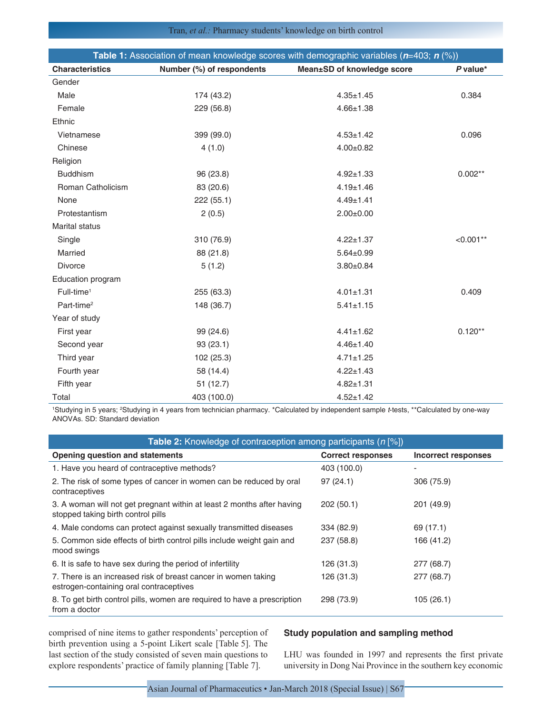| <b>Table 1:</b> Association of mean knowledge scores with demographic variables $(n=403; n \, (*)$ ) |                           |                            |             |  |
|------------------------------------------------------------------------------------------------------|---------------------------|----------------------------|-------------|--|
| <b>Characteristics</b>                                                                               | Number (%) of respondents | Mean±SD of knowledge score | $P$ value*  |  |
| Gender                                                                                               |                           |                            |             |  |
| Male                                                                                                 | 174 (43.2)                | $4.35 \pm 1.45$            | 0.384       |  |
| Female                                                                                               | 229 (56.8)                | $4.66 \pm 1.38$            |             |  |
| Ethnic                                                                                               |                           |                            |             |  |
| Vietnamese                                                                                           | 399 (99.0)                | $4.53 \pm 1.42$            | 0.096       |  |
| Chinese                                                                                              | 4(1.0)                    | $4.00 \pm 0.82$            |             |  |
| Religion                                                                                             |                           |                            |             |  |
| <b>Buddhism</b>                                                                                      | 96 (23.8)                 | $4.92 \pm 1.33$            | $0.002**$   |  |
| Roman Catholicism                                                                                    | 83 (20.6)                 | $4.19 \pm 1.46$            |             |  |
| None                                                                                                 | 222 (55.1)                | $4.49 \pm 1.41$            |             |  |
| Protestantism                                                                                        | 2(0.5)                    | $2.00 \pm 0.00$            |             |  |
| <b>Marital status</b>                                                                                |                           |                            |             |  |
| Single                                                                                               | 310 (76.9)                | $4.22 \pm 1.37$            | $< 0.001**$ |  |
| Married                                                                                              | 88 (21.8)                 | $5.64 \pm 0.99$            |             |  |
| <b>Divorce</b>                                                                                       | 5(1.2)                    | $3.80 \pm 0.84$            |             |  |
| Education program                                                                                    |                           |                            |             |  |
| Full-time <sup>1</sup>                                                                               | 255 (63.3)                | $4.01 \pm 1.31$            | 0.409       |  |
| Part-time <sup>2</sup>                                                                               | 148 (36.7)                | $5.41 \pm 1.15$            |             |  |
| Year of study                                                                                        |                           |                            |             |  |
| First year                                                                                           | 99 (24.6)                 | $4.41 \pm 1.62$            | $0.120**$   |  |
| Second year                                                                                          | 93(23.1)                  | $4.46 \pm 1.40$            |             |  |
| Third year                                                                                           | 102 (25.3)                | $4.71 \pm 1.25$            |             |  |
| Fourth year                                                                                          | 58 (14.4)                 | $4.22 \pm 1.43$            |             |  |
| Fifth year                                                                                           | 51(12.7)                  | $4.82 \pm 1.31$            |             |  |
| Total                                                                                                | 403 (100.0)               | $4.52 \pm 1.42$            |             |  |

<sup>1</sup>Studying in 5 years; <sup>2</sup>Studying in 4 years from technician pharmacy. \*Calculated by independent sample *t*-tests, \*\*Calculated by one-way ANOVAs. SD: Standard deviation

| <b>Table 2:</b> Knowledge of contraception among participants $(n \leq 8)$                                   |                          |                            |  |  |
|--------------------------------------------------------------------------------------------------------------|--------------------------|----------------------------|--|--|
| Opening question and statements                                                                              | <b>Correct responses</b> | <b>Incorrect responses</b> |  |  |
| 1. Have you heard of contraceptive methods?                                                                  | 403 (100.0)              |                            |  |  |
| 2. The risk of some types of cancer in women can be reduced by oral<br>contraceptives                        | 97(24.1)                 | 306 (75.9)                 |  |  |
| 3. A woman will not get pregnant within at least 2 months after having<br>stopped taking birth control pills | 202(50.1)                | 201 (49.9)                 |  |  |
| 4. Male condoms can protect against sexually transmitted diseases                                            | 334 (82.9)               | 69 (17.1)                  |  |  |
| 5. Common side effects of birth control pills include weight gain and<br>mood swings                         | 237 (58.8)               | 166 (41.2)                 |  |  |
| 6. It is safe to have sex during the period of infertility                                                   | 126 (31.3)               | 277 (68.7)                 |  |  |
| 7. There is an increased risk of breast cancer in women taking<br>estrogen-containing oral contraceptives    | 126 (31.3)               | 277 (68.7)                 |  |  |
| 8. To get birth control pills, women are required to have a prescription<br>from a doctor                    | 298 (73.9)               | 105(26.1)                  |  |  |

comprised of nine items to gather respondents' perception of birth prevention using a 5-point Likert scale [Table 5]. The last section of the study consisted of seven main questions to explore respondents' practice of family planning [Table 7].

## **Study population and sampling method**

LHU was founded in 1997 and represents the first private university in Dong Nai Province in the southern key economic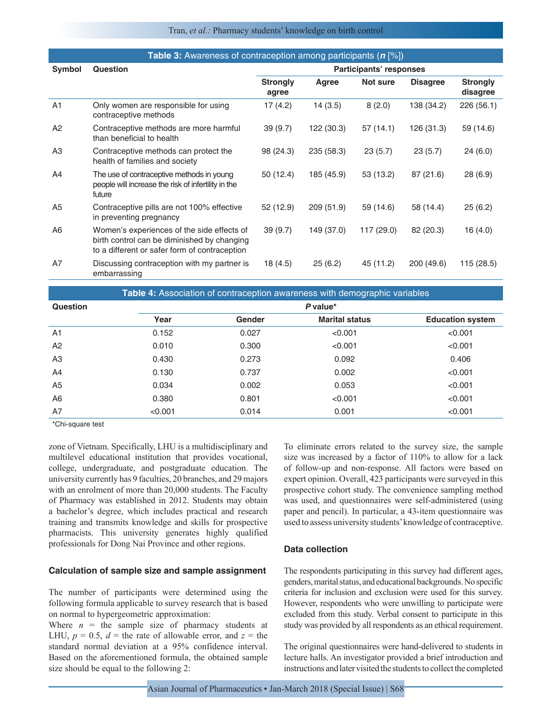#### Tran, *et al.:* Pharmacy students' knowledge on birth control

| <b>Table 3:</b> Awareness of contraception among participants ( $n \frac{1}{6}$ ) |                                                                                                                                            |                          |            |            |                 |                             |
|-----------------------------------------------------------------------------------|--------------------------------------------------------------------------------------------------------------------------------------------|--------------------------|------------|------------|-----------------|-----------------------------|
| Symbol                                                                            | Question                                                                                                                                   | Participants' responses  |            |            |                 |                             |
|                                                                                   |                                                                                                                                            | <b>Strongly</b><br>agree | Agree      | Not sure   | <b>Disagree</b> | <b>Strongly</b><br>disagree |
| A <sub>1</sub>                                                                    | Only women are responsible for using<br>contraceptive methods                                                                              | 17(4.2)                  | 14(3.5)    | 8(2.0)     | 138 (34.2)      | 226 (56.1)                  |
| A <sub>2</sub>                                                                    | Contraceptive methods are more harmful<br>than beneficial to health                                                                        | 39(9.7)                  | 122 (30.3) | 57 (14.1)  | 126 (31.3)      | 59 (14.6)                   |
| A3                                                                                | Contraceptive methods can protect the<br>health of families and society                                                                    | 98 (24.3)                | 235 (58.3) | 23(5.7)    | 23(5.7)         | 24(6.0)                     |
| A4                                                                                | The use of contraceptive methods in young<br>people will increase the risk of infertility in the<br>future                                 | 50 (12.4)                | 185 (45.9) | 53 (13.2)  | 87 (21.6)       | 28 (6.9)                    |
| A <sub>5</sub>                                                                    | Contraceptive pills are not 100% effective<br>in preventing pregnancy                                                                      | 52 (12.9)                | 209 (51.9) | 59 (14.6)  | 58 (14.4)       | 25(6.2)                     |
| A <sub>6</sub>                                                                    | Women's experiences of the side effects of<br>birth control can be diminished by changing<br>to a different or safer form of contraception | 39(9.7)                  | 149 (37.0) | 117 (29.0) | 82 (20.3)       | 16(4.0)                     |
| A7                                                                                | Discussing contraception with my partner is<br>embarrassing                                                                                | 18 (4.5)                 | 25(6.2)    | 45 (11.2)  | 200 (49.6)      | 115 (28.5)                  |

**Table 4:** Association of contraception awareness with demographic variables **Question** *P* **value\* Year Gender Marital status Education system** A1 0.152 0.027 <0.001 <0.001 <0.001 A2 0.010 0.300 <0.001  $\leq 0.300$ A3 0.430 0.430 0.273 0.092 0.406 A4 0.130 0.737 0.002 <0.001 A5 0.034 0.002 0.053 <0.001 A6 0.380 0.801 <0.001 <0.001 A7  $<$  0.001  $<$  0.014 0.001  $<$  0.001  $<$  0.001  $<$  0.001

\*Chi‑square test

zone of Vietnam. Specifically, LHU is a multidisciplinary and multilevel educational institution that provides vocational, college, undergraduate, and postgraduate education. The university currently has 9 faculties, 20 branches, and 29 majors with an enrolment of more than 20,000 students. The Faculty of Pharmacy was established in 2012. Students may obtain a bachelor's degree, which includes practical and research training and transmits knowledge and skills for prospective pharmacists. This university generates highly qualified professionals for Dong Nai Province and other regions.

#### **Calculation of sample size and sample assignment**

The number of participants were determined using the following formula applicable to survey research that is based on normal to hypergeometric approximation:

Where  $n =$  the sample size of pharmacy students at LHU,  $p = 0.5$ ,  $d =$  the rate of allowable error, and  $z =$  the standard normal deviation at a 95% confidence interval. Based on the aforementioned formula, the obtained sample size should be equal to the following 2:

To eliminate errors related to the survey size, the sample size was increased by a factor of 110% to allow for a lack of follow-up and non-response. All factors were based on expert opinion. Overall, 423 participants were surveyed in this prospective cohort study. The convenience sampling method was used, and questionnaires were self-administered (using paper and pencil). In particular, a 43-item questionnaire was used to assess university students' knowledge of contraceptive.

### **Data collection**

The respondents participating in this survey had different ages, genders, marital status, and educational backgrounds. No specific criteria for inclusion and exclusion were used for this survey. However, respondents who were unwilling to participate were excluded from this study. Verbal consent to participate in this study was provided by all respondents as an ethical requirement.

The original questionnaires were hand-delivered to students in lecture halls. An investigator provided a brief introduction and instructions and later visited the students to collect the completed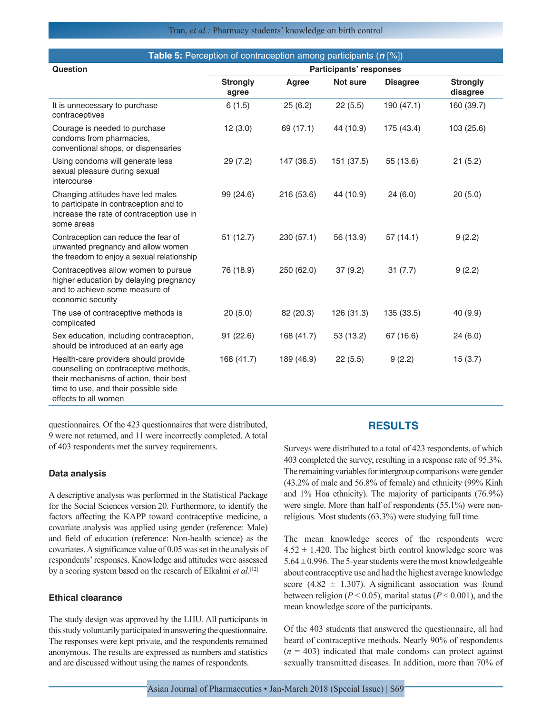| <b>Table 5:</b> Perception of contraception among participants ( $n$ [%])                                                                                                               |                          |                                |            |                 |                             |  |
|-----------------------------------------------------------------------------------------------------------------------------------------------------------------------------------------|--------------------------|--------------------------------|------------|-----------------|-----------------------------|--|
| Question                                                                                                                                                                                |                          | <b>Participants' responses</b> |            |                 |                             |  |
|                                                                                                                                                                                         | <b>Strongly</b><br>agree | Agree                          | Not sure   | <b>Disagree</b> | <b>Strongly</b><br>disagree |  |
| It is unnecessary to purchase<br>contraceptives                                                                                                                                         | 6(1.5)                   | 25(6.2)                        | 22(5.5)    | 190 (47.1)      | 160 (39.7)                  |  |
| Courage is needed to purchase<br>condoms from pharmacies,<br>conventional shops, or dispensaries                                                                                        | 12(3.0)                  | 69 (17.1)                      | 44 (10.9)  | 175 (43.4)      | 103 (25.6)                  |  |
| Using condoms will generate less<br>sexual pleasure during sexual<br>intercourse                                                                                                        | 29 (7.2)                 | 147 (36.5)                     | 151 (37.5) | 55 (13.6)       | 21(5.2)                     |  |
| Changing attitudes have led males<br>to participate in contraception and to<br>increase the rate of contraception use in<br>some areas                                                  | 99 (24.6)                | 216 (53.6)                     | 44 (10.9)  | 24(6.0)         | 20(5.0)                     |  |
| Contraception can reduce the fear of<br>unwanted pregnancy and allow women<br>the freedom to enjoy a sexual relationship                                                                | 51 (12.7)                | 230 (57.1)                     | 56 (13.9)  | 57(14.1)        | 9(2.2)                      |  |
| Contraceptives allow women to pursue<br>higher education by delaying pregnancy<br>and to achieve some measure of<br>economic security                                                   | 76 (18.9)                | 250 (62.0)                     | 37(9.2)    | 31(7.7)         | 9(2.2)                      |  |
| The use of contraceptive methods is<br>complicated                                                                                                                                      | 20(5.0)                  | 82 (20.3)                      | 126 (31.3) | 135 (33.5)      | 40 (9.9)                    |  |
| Sex education, including contraception,<br>should be introduced at an early age                                                                                                         | 91 (22.6)                | 168 (41.7)                     | 53 (13.2)  | 67 (16.6)       | 24(6.0)                     |  |
| Health-care providers should provide<br>counselling on contraceptive methods,<br>their mechanisms of action, their best<br>time to use, and their possible side<br>effects to all women | 168 (41.7)               | 189 (46.9)                     | 22(5.5)    | 9(2.2)          | 15(3.7)                     |  |

questionnaires. Of the 423 questionnaires that were distributed, 9 were not returned, and 11 were incorrectly completed. A total of 403 respondents met the survey requirements.

#### **Data analysis**

A descriptive analysis was performed in the Statistical Package for the Social Sciences version 20. Furthermore, to identify the factors affecting the KAPP toward contraceptive medicine, a covariate analysis was applied using gender (reference: Male) and field of education (reference: Non-health science) as the covariates. A significance value of 0.05 was set in the analysis of respondents' responses. Knowledge and attitudes were assessed by a scoring system based on the research of Elkalmi *et al*. [12]

## **Ethical clearance**

The study design was approved by the LHU. All participants in this study voluntarily participated in answering the questionnaire. The responses were kept private, and the respondents remained anonymous. The results are expressed as numbers and statistics and are discussed without using the names of respondents.

## **RESULTS**

Surveys were distributed to a total of 423 respondents, of which 403 completed the survey, resulting in a response rate of 95.3%. The remaining variables for intergroup comparisons were gender (43.2% of male and 56.8% of female) and ethnicity (99% Kinh and 1% Hoa ethnicity). The majority of participants (76.9%) were single. More than half of respondents (55.1%) were nonreligious. Most students (63.3%) were studying full time.

The mean knowledge scores of the respondents were  $4.52 \pm 1.420$ . The highest birth control knowledge score was  $5.64 \pm 0.996$ . The 5-year students were the most knowledgeable about contraceptive use and had the highest average knowledge score (4.82  $\pm$  1.307). A significant association was found between religion (*P* < 0.05), marital status (*P* < 0.001), and the mean knowledge score of the participants.

Of the 403 students that answered the questionnaire, all had heard of contraceptive methods. Nearly 90% of respondents  $(n = 403)$  indicated that male condoms can protect against sexually transmitted diseases. In addition, more than 70% of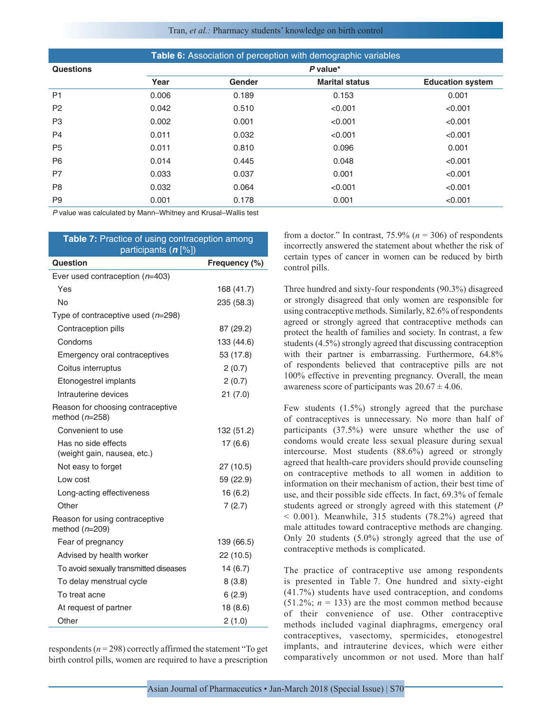#### Tran, *et al.:* Pharmacy students' knowledge on birth control

| Table 6: Association of perception with demographic variables |            |        |                       |                         |
|---------------------------------------------------------------|------------|--------|-----------------------|-------------------------|
| <b>Questions</b>                                              | $P$ value* |        |                       |                         |
|                                                               | Year       | Gender | <b>Marital status</b> | <b>Education system</b> |
| P <sub>1</sub>                                                | 0.006      | 0.189  | 0.153                 | 0.001                   |
| P <sub>2</sub>                                                | 0.042      | 0.510  | < 0.001               | < 0.001                 |
| P <sub>3</sub>                                                | 0.002      | 0.001  | < 0.001               | < 0.001                 |
| P <sub>4</sub>                                                | 0.011      | 0.032  | < 0.001               | < 0.001                 |
| <b>P5</b>                                                     | 0.011      | 0.810  | 0.096                 | 0.001                   |
| P <sub>6</sub>                                                | 0.014      | 0.445  | 0.048                 | < 0.001                 |
| P7                                                            | 0.033      | 0.037  | 0.001                 | < 0.001                 |
| P <sub>8</sub>                                                | 0.032      | 0.064  | < 0.001               | < 0.001                 |
| P <sub>9</sub>                                                | 0.001      | 0.178  | 0.001                 | < 0.001                 |

*P* value was calculated by Mann–Whitney and Krusal–Wallis test

| Table 7: Practice of using contraception among<br>participants $(n [\%])$ |               |  |  |  |
|---------------------------------------------------------------------------|---------------|--|--|--|
| Question                                                                  | Frequency (%) |  |  |  |
| Ever used contraception $(n=403)$                                         |               |  |  |  |
| Yes                                                                       | 168 (41.7)    |  |  |  |
| No                                                                        | 235 (58.3)    |  |  |  |
| Type of contraceptive used (n=298)                                        |               |  |  |  |
| Contraception pills                                                       | 87 (29.2)     |  |  |  |
| Condoms                                                                   | 133 (44.6)    |  |  |  |
| Emergency oral contraceptives                                             | 53 (17.8)     |  |  |  |
| Coitus interruptus                                                        | 2(0.7)        |  |  |  |
| Etonogestrel implants                                                     | 2(0.7)        |  |  |  |
| Intrauterine devices                                                      | 21(7.0)       |  |  |  |
| Reason for choosing contraceptive<br>method $(n=258)$                     |               |  |  |  |
| Convenient to use                                                         | 132 (51.2)    |  |  |  |
| Has no side effects<br>(weight gain, nausea, etc.)                        | 17 (6.6)      |  |  |  |
| Not easy to forget                                                        | 27 (10.5)     |  |  |  |
| Low cost                                                                  | 59 (22.9)     |  |  |  |
| Long-acting effectiveness                                                 | 16 (6.2)      |  |  |  |
| Other                                                                     | 7(2.7)        |  |  |  |
| Reason for using contraceptive<br>method $(n=209)$                        |               |  |  |  |
| Fear of pregnancy                                                         | 139 (66.5)    |  |  |  |
| Advised by health worker                                                  | 22 (10.5)     |  |  |  |
| To avoid sexually transmitted diseases                                    | 14(6.7)       |  |  |  |
| To delay menstrual cycle                                                  | 8(3.8)        |  |  |  |
| To treat acne                                                             | 6(2.9)        |  |  |  |
| At request of partner                                                     | 18 (8.6)      |  |  |  |
| Other                                                                     | 2(1.0)        |  |  |  |

respondents (*n* = 298) correctly affirmed the statement "To get birth control pills, women are required to have a prescription from a doctor." In contrast,  $75.9\%$  ( $n = 306$ ) of respondents incorrectly answered the statement about whether the risk of certain types of cancer in women can be reduced by birth control pills.

Three hundred and sixty-four respondents (90.3%) disagreed or strongly disagreed that only women are responsible for using contraceptive methods. Similarly, 82.6% of respondents agreed or strongly agreed that contraceptive methods can protect the health of families and society. In contrast, a few students (4.5%) strongly agreed that discussing contraception with their partner is embarrassing. Furthermore,  $64.8\%$ of respondents believed that contraceptive pills are not 100% effective in preventing pregnancy. Overall, the mean awareness score of participants was  $20.67 \pm 4.06$ .

Few students (1.5%) strongly agreed that the purchase of contraceptives is unnecessary. No more than half of participants (37.5%) were unsure whether the use of condoms would create less sexual pleasure during sexual intercourse. Most students (88.6%) agreed or strongly agreed that health-care providers should provide counseling on contraceptive methods to all women in addition to information on their mechanism of action, their best time of use, and their possible side effects. In fact, 69.3% of female students agreed or strongly agreed with this statement (*P*  $<$  0.001). Meanwhile, 315 students (78.2%) agreed that male attitudes toward contraceptive methods are changing. Only 20 students (5.0%) strongly agreed that the use of contraceptive methods is complicated.

The practice of contraceptive use among respondents is presented in Table 7. One hundred and sixty-eight (41.7%) students have used contraception, and condoms  $(51.2\%; n = 133)$  are the most common method because of their convenience of use. Other contraceptive methods included vaginal diaphragms, emergency oral contraceptives, vasectomy, spermicides, etonogestrel implants, and intrauterine devices, which were either comparatively uncommon or not used. More than half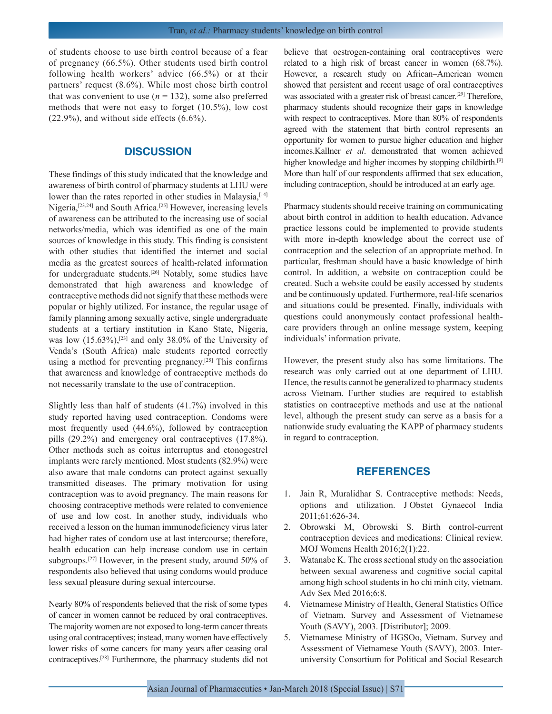of students choose to use birth control because of a fear of pregnancy (66.5%). Other students used birth control following health workers' advice (66.5%) or at their partners' request (8.6%). While most chose birth control that was convenient to use  $(n = 132)$ , some also preferred methods that were not easy to forget (10.5%), low cost (22.9%), and without side effects (6.6%).

## **DISCUSSION**

These findings of this study indicated that the knowledge and awareness of birth control of pharmacy students at LHU were lower than the rates reported in other studies in Malaysia, [14] Nigeria,[23,24] and South Africa.[25] However, increasing levels of awareness can be attributed to the increasing use of social networks/media, which was identified as one of the main sources of knowledge in this study. This finding is consistent with other studies that identified the internet and social media as the greatest sources of health-related information for undergraduate students.[26] Notably, some studies have demonstrated that high awareness and knowledge of contraceptive methods did not signify that these methods were popular or highly utilized. For instance, the regular usage of family planning among sexually active, single undergraduate students at a tertiary institution in Kano State, Nigeria, was low  $(15.63\%)$ ,<sup>[23]</sup> and only 38.0% of the University of Venda's (South Africa) male students reported correctly using a method for preventing pregnancy.[25] This confirms that awareness and knowledge of contraceptive methods do not necessarily translate to the use of contraception.

Slightly less than half of students (41.7%) involved in this study reported having used contraception. Condoms were most frequently used (44.6%), followed by contraception pills (29.2%) and emergency oral contraceptives (17.8%). Other methods such as coitus interruptus and etonogestrel implants were rarely mentioned. Most students (82.9%) were also aware that male condoms can protect against sexually transmitted diseases. The primary motivation for using contraception was to avoid pregnancy. The main reasons for choosing contraceptive methods were related to convenience of use and low cost. In another study, individuals who received a lesson on the human immunodeficiency virus later had higher rates of condom use at last intercourse; therefore, health education can help increase condom use in certain subgroups.[27] However, in the present study, around 50% of respondents also believed that using condoms would produce less sexual pleasure during sexual intercourse.

Nearly 80% of respondents believed that the risk of some types of cancer in women cannot be reduced by oral contraceptives. The majority women are not exposed to long-term cancer threats using oral contraceptives; instead, many women have effectively lower risks of some cancers for many years after ceasing oral contraceptives.[28] Furthermore, the pharmacy students did not believe that oestrogen-containing oral contraceptives were related to a high risk of breast cancer in women (68.7%). However, a research study on African–American women showed that persistent and recent usage of oral contraceptives was associated with a greater risk of breast cancer.<sup>[29]</sup> Therefore, pharmacy students should recognize their gaps in knowledge with respect to contraceptives. More than 80% of respondents agreed with the statement that birth control represents an opportunity for women to pursue higher education and higher incomes.Kallner *et al*. demonstrated that women achieved higher knowledge and higher incomes by stopping childbirth.<sup>[9]</sup> More than half of our respondents affirmed that sex education, including contraception, should be introduced at an early age.

Pharmacy students should receive training on communicating about birth control in addition to health education. Advance practice lessons could be implemented to provide students with more in-depth knowledge about the correct use of contraception and the selection of an appropriate method. In particular, freshman should have a basic knowledge of birth control. In addition, a website on contraception could be created. Such a website could be easily accessed by students and be continuously updated. Furthermore, real-life scenarios and situations could be presented. Finally, individuals with questions could anonymously contact professional healthcare providers through an online message system, keeping individuals' information private.

However, the present study also has some limitations. The research was only carried out at one department of LHU. Hence, the results cannot be generalized to pharmacy students across Vietnam. Further studies are required to establish statistics on contraceptive methods and use at the national level, although the present study can serve as a basis for a nationwide study evaluating the KAPP of pharmacy students in regard to contraception.

## **REFERENCES**

- 1. Jain R, Muralidhar S. Contraceptive methods: Needs, options and utilization. J Obstet Gynaecol India 2011;61:626-34.
- 2. Obrowski M, Obrowski S. Birth control-current contraception devices and medications: Clinical review. MOJ Womens Health 2016;2(1):22.
- 3. Watanabe K. The cross sectional study on the association between sexual awareness and cognitive social capital among high school students in ho chi minh city, vietnam. Adv Sex Med 2016;6:8.
- 4. Vietnamese Ministry of Health, General Statistics Office of Vietnam. Survey and Assessment of Vietnamese Youth (SAVY), 2003. [Distributor]; 2009.
- 5. Vietnamese Ministry of HGSOo, Vietnam. Survey and Assessment of Vietnamese Youth (SAVY), 2003. Interuniversity Consortium for Political and Social Research